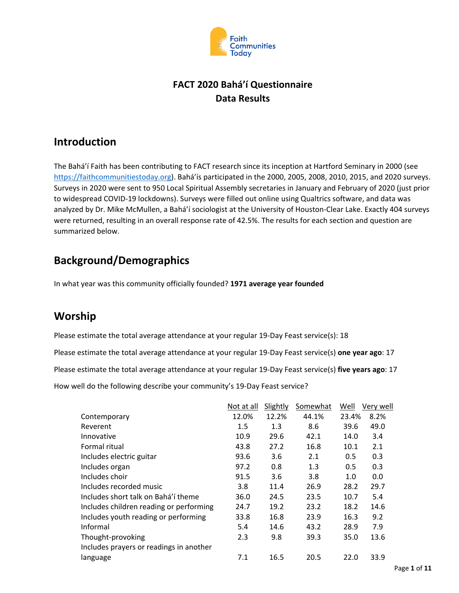

## **FACT 2020 Bahá'í Questionnaire Data Results**

## **Introduction**

The Bahá'í Faith has been contributing to FACT research since its inception at Hartford Seminary in 2000 (see [https://faithcommunitiestoday.org\)](https://faithcommunitiestoday.org/). Bahá'ís participated in the 2000, 2005, 2008, 2010, 2015, and 2020 surveys. Surveys in 2020 were sent to 950 Local Spiritual Assembly secretaries in January and February of 2020 (just prior to widespread COVID-19 lockdowns). Surveys were filled out online using Qualtrics software, and data was analyzed by Dr. Mike McMullen, a Bahá'í sociologist at the University of Houston-Clear Lake. Exactly 404 surveys were returned, resulting in an overall response rate of 42.5%. The results for each section and question are summarized below.

# **Background/Demographics**

In what year was this community officially founded? **1971 average year founded**

# **Worship**

Please estimate the total average attendance at your regular 19-Day Feast service(s): 18

Please estimate the total average attendance at your regular 19-Day Feast service(s) **one year ago**: 17 Please estimate the total average attendance at your regular 19-Day Feast service(s) **five years ago**: 17 How well do the following describe your community's 19-Day Feast service?

|                                         | Not at all | Slightly | Somewhat | Well  | Very well |
|-----------------------------------------|------------|----------|----------|-------|-----------|
| Contemporary                            | 12.0%      | 12.2%    | 44.1%    | 23.4% | 8.2%      |
| Reverent                                | 1.5        | 1.3      | 8.6      | 39.6  | 49.0      |
| Innovative                              | 10.9       | 29.6     | 42.1     | 14.0  | 3.4       |
| Formal ritual                           | 43.8       | 27.2     | 16.8     | 10.1  | 2.1       |
| Includes electric guitar                | 93.6       | 3.6      | 2.1      | 0.5   | 0.3       |
| Includes organ                          | 97.2       | 0.8      | 1.3      | 0.5   | 0.3       |
| Includes choir                          | 91.5       | 3.6      | 3.8      | 1.0   | 0.0       |
| Includes recorded music                 | 3.8        | 11.4     | 26.9     | 28.2  | 29.7      |
| Includes short talk on Bahá'í theme     | 36.0       | 24.5     | 23.5     | 10.7  | 5.4       |
| Includes children reading or performing | 24.7       | 19.2     | 23.2     | 18.2  | 14.6      |
| Includes youth reading or performing    | 33.8       | 16.8     | 23.9     | 16.3  | 9.2       |
| Informal                                | 5.4        | 14.6     | 43.2     | 28.9  | 7.9       |
| Thought-provoking                       | 2.3        | 9.8      | 39.3     | 35.0  | 13.6      |
| Includes prayers or readings in another |            |          |          |       |           |
| language                                | 7.1        | 16.5     | 20.5     | 22.0  | 33.9      |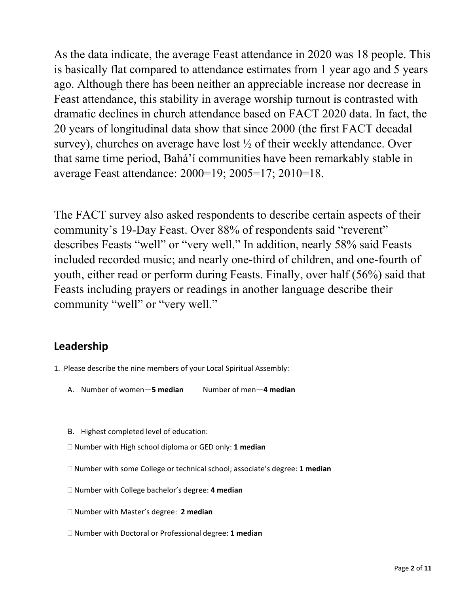As the data indicate, the average Feast attendance in 2020 was 18 people. This is basically flat compared to attendance estimates from 1 year ago and 5 years ago. Although there has been neither an appreciable increase nor decrease in Feast attendance, this stability in average worship turnout is contrasted with dramatic declines in church attendance based on FACT 2020 data. In fact, the 20 years of longitudinal data show that since 2000 (the first FACT decadal survey), churches on average have lost ½ of their weekly attendance. Over that same time period, Bahá'í communities have been remarkably stable in average Feast attendance: 2000=19; 2005=17; 2010=18.

The FACT survey also asked respondents to describe certain aspects of their community's 19-Day Feast. Over 88% of respondents said "reverent" describes Feasts "well" or "very well." In addition, nearly 58% said Feasts included recorded music; and nearly one-third of children, and one-fourth of youth, either read or perform during Feasts. Finally, over half (56%) said that Feasts including prayers or readings in another language describe their community "well" or "very well."

## **Leadership**

- 1. Please describe the nine members of your Local Spiritual Assembly:
	- A. Number of women—**5 median** Number of men—**4 median**
	- B. Highest completed level of education:
	- Number with High school diploma or GED only: **1 median**
	- Number with some College or technical school; associate's degree: **1 median**
	- Number with College bachelor's degree: **4 median**
	- Number with Master's degree: **2 median**
	- Number with Doctoral or Professional degree: **1 median**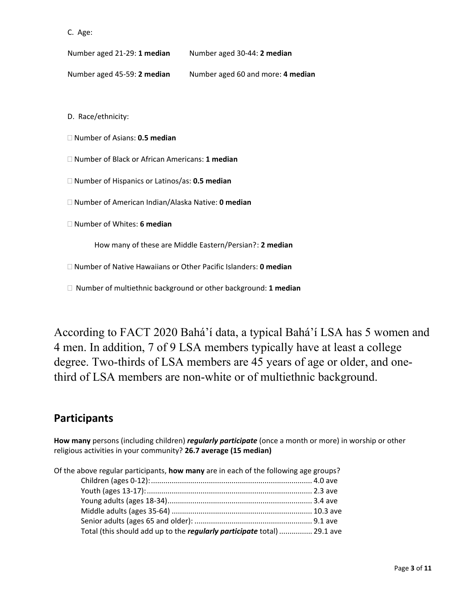```
 C. Age:
```
Number aged 21-29: **1 median** Number aged 30-44: **2 median**

Number aged 45-59: **2 median** Number aged 60 and more: **4 median**

D. Race/ethnicity:

Number of Asians: **0.5 median**

Number of Black or African Americans: **1 median**

Number of Hispanics or Latinos/as: **0.5 median**

Number of American Indian/Alaska Native: **0 median**

Number of Whites: **6 median**

How many of these are Middle Eastern/Persian? : **2 median**

Number of Native Hawaiians or Other Pacific Islanders: **0 median**

Number of multiethnic background or other background: **1 median**

According to FACT 2020 Bahá'í data, a typical Bahá'í LSA has 5 women and 4 men. In addition, 7 of 9 LSA members typically have at least a college degree. Two-thirds of LSA members are 45 years of age or older, and onethird of LSA members are non-white or of multiethnic background.

## **Participants**

**How many** persons (including children) *regularly participate* (once a month or more) in worship or other religious activities in your community? **26.7 average (15 median)**

| Of the above regular participants, how many are in each of the following age groups? |  |
|--------------------------------------------------------------------------------------|--|
|                                                                                      |  |
|                                                                                      |  |
|                                                                                      |  |
|                                                                                      |  |
|                                                                                      |  |
| Total (this should add up to the regularly participate total)  29.1 ave              |  |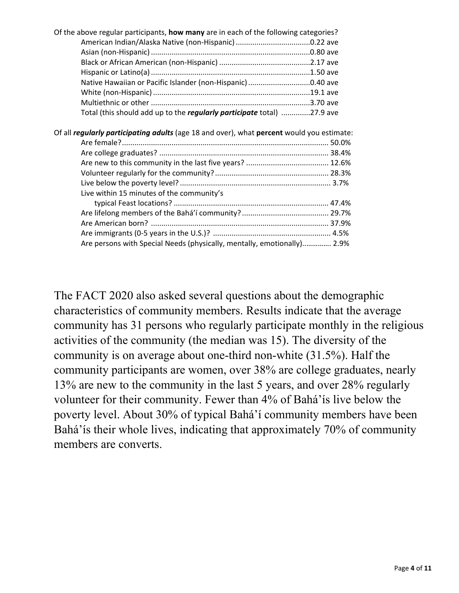| Of the above regular participants, how many are in each of the following categories?             |  |
|--------------------------------------------------------------------------------------------------|--|
|                                                                                                  |  |
|                                                                                                  |  |
|                                                                                                  |  |
|                                                                                                  |  |
| Native Hawaiian or Pacific Islander (non-Hispanic) 0.40 ave                                      |  |
|                                                                                                  |  |
|                                                                                                  |  |
| Total (this should add up to the regularly participate total) 27.9 ave                           |  |
|                                                                                                  |  |
| Of all <i>regularly participating adults</i> (age 18 and over), what percent would you estimate: |  |
|                                                                                                  |  |
|                                                                                                  |  |
|                                                                                                  |  |
|                                                                                                  |  |
|                                                                                                  |  |
| Live within 15 minutes of the community's                                                        |  |
|                                                                                                  |  |
|                                                                                                  |  |
|                                                                                                  |  |

Are immigrants (0-5 years in the U.S.)? ......................................................... 4.5% Are persons with Special Needs (physically, mentally, emotionally)..…………. 2.9%

The FACT 2020 also asked several questions about the demographic characteristics of community members. Results indicate that the average community has 31 persons who regularly participate monthly in the religious activities of the community (the median was 15). The diversity of the community is on average about one-third non-white (31.5%). Half the community participants are women, over 38% are college graduates, nearly 13% are new to the community in the last 5 years, and over 28% regularly volunteer for their community. Fewer than 4% of Bahá'ís live below the poverty level. About 30% of typical Bahá'í community members have been Bahá'ís their whole lives, indicating that approximately 70% of community members are converts.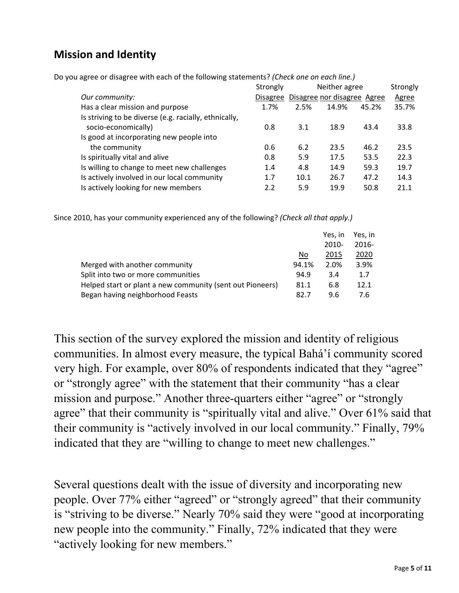# **Mission and Identity**

Do you agree or disagree with each of the following statements? *(Check one on each line.)*

|                                                       | Strongly        |      | Neither agree               |       | Strongly     |
|-------------------------------------------------------|-----------------|------|-----------------------------|-------|--------------|
| Our community:                                        | <b>Disagree</b> |      | Disagree nor disagree Agree |       | <b>Agree</b> |
| Has a clear mission and purpose                       | 1.7%            | 2.5% | 14.9%                       | 45.2% | 35.7%        |
| Is striving to be diverse (e.g. racially, ethnically, |                 |      |                             |       |              |
| socio-economically)                                   | 0.8             | 3.1  | 18.9                        | 43.4  | 33.8         |
| Is good at incorporating new people into              |                 |      |                             |       |              |
| the community                                         | 0.6             | 6.2  | 23.5                        | 46.2  | 23.5         |
| Is spiritually vital and alive                        | 0.8             | 5.9  | 17.5                        | 53.5  | 22.3         |
| Is willing to change to meet new challenges           | 1.4             | 4.8  | 14.9                        | 59.3  | 19.7         |
| Is actively involved in our local community           | 1.7             | 10.1 | 26.7                        | 47.2  | 14.3         |
| Is actively looking for new members                   | 2.2             | 5.9  | 19.9                        | 50.8  | 21.1         |

Since 2010, has your community experienced any of the following? *(Check all that apply.)*

|                                                           |       | Yes. in  | Yes. in  |
|-----------------------------------------------------------|-------|----------|----------|
|                                                           |       | $2010 -$ | $2016 -$ |
|                                                           | No    | 2015     | 2020     |
| Merged with another community                             | 94.1% | 2.0%     | 3.9%     |
| Split into two or more communities                        | 94.9  | 3.4      | 1.7      |
| Helped start or plant a new community (sent out Pioneers) | 81.1  | 6.8      | 12.1     |
| Began having neighborhood Feasts                          | 82.7  | 9.6      | 7.6      |

This section of the survey explored the mission and identity of religious communities. In almost every measure, the typical Bahá'í community scored very high. For example, over 80% of respondents indicated that they "agree" or "strongly agree" with the statement that their community "has a clear mission and purpose." Another three-quarters either "agree" or "strongly agree" that their community is "spiritually vital and alive." Over 61% said that their community is "actively involved in our local community." Finally, 79% indicated that they are "willing to change to meet new challenges."

Several questions dealt with the issue of diversity and incorporating new people. Over 77% either "agreed" or "strongly agreed" that their community is "striving to be diverse." Nearly 70% said they were "good at incorporating new people into the community." Finally, 72% indicated that they were "actively looking for new members."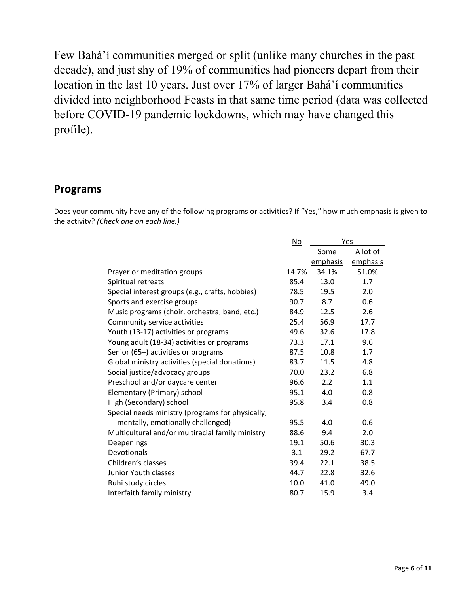Few Bahá'í communities merged or split (unlike many churches in the past decade), and just shy of 19% of communities had pioneers depart from their location in the last 10 years. Just over 17% of larger Bahá'í communities divided into neighborhood Feasts in that same time period (data was collected before COVID-19 pandemic lockdowns, which may have changed this profile).

#### **Programs**

Does your community have any of the following programs or activities? If "Yes," how much emphasis is given to the activity? *(Check one on each line.)*

|                                                  | $\underline{\mathsf{No}}$ | Yes      |          |
|--------------------------------------------------|---------------------------|----------|----------|
|                                                  |                           | Some     | A lot of |
|                                                  |                           | emphasis | emphasis |
| Prayer or meditation groups                      | 14.7%                     | 34.1%    | 51.0%    |
| Spiritual retreats                               | 85.4                      | 13.0     | 1.7      |
| Special interest groups (e.g., crafts, hobbies)  | 78.5                      | 19.5     | 2.0      |
| Sports and exercise groups                       | 90.7                      | 8.7      | 0.6      |
| Music programs (choir, orchestra, band, etc.)    | 84.9                      | 12.5     | 2.6      |
| Community service activities                     | 25.4                      | 56.9     | 17.7     |
| Youth (13-17) activities or programs             | 49.6                      | 32.6     | 17.8     |
| Young adult (18-34) activities or programs       | 73.3                      | 17.1     | 9.6      |
| Senior (65+) activities or programs              | 87.5                      | 10.8     | 1.7      |
| Global ministry activities (special donations)   | 83.7                      | 11.5     | 4.8      |
| Social justice/advocacy groups                   | 70.0                      | 23.2     | 6.8      |
| Preschool and/or daycare center                  | 96.6                      | 2.2      | 1.1      |
| Elementary (Primary) school                      | 95.1                      | 4.0      | 0.8      |
| High (Secondary) school                          | 95.8                      | 3.4      | 0.8      |
| Special needs ministry (programs for physically, |                           |          |          |
| mentally, emotionally challenged)                | 95.5                      | 4.0      | 0.6      |
| Multicultural and/or multiracial family ministry | 88.6                      | 9.4      | 2.0      |
| Deepenings                                       | 19.1                      | 50.6     | 30.3     |
| Devotionals                                      | 3.1                       | 29.2     | 67.7     |
| Children's classes                               | 39.4                      | 22.1     | 38.5     |
| Junior Youth classes                             | 44.7                      | 22.8     | 32.6     |
| Ruhi study circles                               | 10.0                      | 41.0     | 49.0     |
| Interfaith family ministry                       | 80.7                      | 15.9     | 3.4      |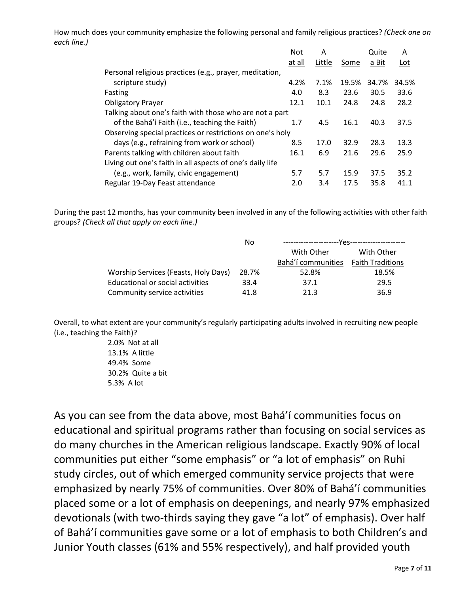How much does your community emphasize the following personal and family religious practices? *(Check one on each line.)*

|                                                           | <b>Not</b> | Α      |       | Quite | Α     |
|-----------------------------------------------------------|------------|--------|-------|-------|-------|
|                                                           | at all     | Little | Some  | a Bit | Lot   |
| Personal religious practices (e.g., prayer, meditation,   |            |        |       |       |       |
| scripture study)                                          | 4.2%       | 7.1%   | 19.5% | 34.7% | 34.5% |
| Fasting                                                   | 4.0        | 8.3    | 23.6  | 30.5  | 33.6  |
| <b>Obligatory Prayer</b>                                  | 12.1       | 10.1   | 24.8  | 24.8  | 28.2  |
| Talking about one's faith with those who are not a part   |            |        |       |       |       |
| of the Bahá'í Faith (i.e., teaching the Faith)            | 1.7        | 4.5    | 16.1  | 40.3  | 37.5  |
| Observing special practices or restrictions on one's holy |            |        |       |       |       |
| days (e.g., refraining from work or school)               | 8.5        | 17.0   | 32.9  | 28.3  | 13.3  |
| Parents talking with children about faith                 | 16.1       | 6.9    | 21.6  | 29.6  | 25.9  |
| Living out one's faith in all aspects of one's daily life |            |        |       |       |       |
| (e.g., work, family, civic engagement)                    | 5.7        | 5.7    | 15.9  | 37.5  | 35.2  |
| Regular 19-Day Feast attendance                           | 2.0        | 3.4    | 17.5  | 35.8  | 41.1  |

During the past 12 months, has your community been involved in any of the following activities with other faith groups? *(Check all that apply on each line.)*

|                                      | No    |                    |                         |  |
|--------------------------------------|-------|--------------------|-------------------------|--|
|                                      |       | With Other         | With Other              |  |
|                                      |       | Bahá'í communities | <b>Faith Traditions</b> |  |
| Worship Services (Feasts, Holy Days) | 28.7% | 52.8%              | 18.5%                   |  |
| Educational or social activities     | 33.4  | 37.1               | 29.5                    |  |
| Community service activities         | 41.8  | 21.3               | 36.9                    |  |

Overall, to what extent are your community's regularly participating adults involved in recruiting new people (i.e., teaching the Faith)?

> 2.0% Not at all 13.1% A little 49.4% Some 30.2% Quite a bit 5.3% A lot

As you can see from the data above, most Bahá'í communities focus on educational and spiritual programs rather than focusing on social services as do many churches in the American religious landscape. Exactly 90% of local communities put either "some emphasis" or "a lot of emphasis" on Ruhi study circles, out of which emerged community service projects that were emphasized by nearly 75% of communities. Over 80% of Bahá'í communities placed some or a lot of emphasis on deepenings, and nearly 97% emphasized devotionals (with two-thirds saying they gave "a lot" of emphasis). Over half of Bahá'í communities gave some or a lot of emphasis to both Children's and Junior Youth classes (61% and 55% respectively), and half provided youth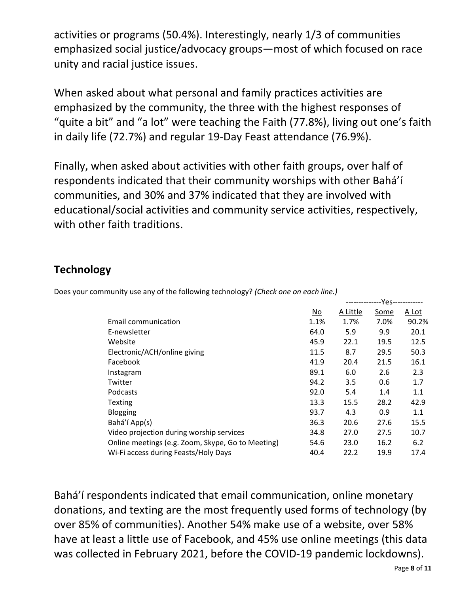activities or programs (50.4%). Interestingly, nearly 1/3 of communities emphasized social justice/advocacy groups—most of which focused on race unity and racial justice issues.

When asked about what personal and family practices activities are emphasized by the community, the three with the highest responses of "quite a bit" and "a lot" were teaching the Faith (77.8%), living out one's faith in daily life (72.7%) and regular 19-Day Feast attendance (76.9%).

Finally, when asked about activities with other faith groups, over half of respondents indicated that their community worships with other Bahá'í communities, and 30% and 37% indicated that they are involved with educational/social activities and community service activities, respectively, with other faith traditions.

## **Technology**

|                                                   |      | --------------Yes------------ |      |       |
|---------------------------------------------------|------|-------------------------------|------|-------|
|                                                   | No   | A Little                      | Some | A Lot |
| Email communication                               | 1.1% | 1.7%                          | 7.0% | 90.2% |
| E-newsletter                                      | 64.0 | 5.9                           | 9.9  | 20.1  |
| Website                                           | 45.9 | 22.1                          | 19.5 | 12.5  |
| Electronic/ACH/online giving                      | 11.5 | 8.7                           | 29.5 | 50.3  |
| Facebook                                          | 41.9 | 20.4                          | 21.5 | 16.1  |
| Instagram                                         | 89.1 | 6.0                           | 2.6  | 2.3   |
| Twitter                                           | 94.2 | 3.5                           | 0.6  | 1.7   |
| Podcasts                                          | 92.0 | 5.4                           | 1.4  | 1.1   |
| <b>Texting</b>                                    | 13.3 | 15.5                          | 28.2 | 42.9  |
| <b>Blogging</b>                                   | 93.7 | 4.3                           | 0.9  | 1.1   |
| Bahá'í App(s)                                     | 36.3 | 20.6                          | 27.6 | 15.5  |
| Video projection during worship services          | 34.8 | 27.0                          | 27.5 | 10.7  |
| Online meetings (e.g. Zoom, Skype, Go to Meeting) | 54.6 | 23.0                          | 16.2 | 6.2   |
| Wi-Fi access during Feasts/Holy Days              | 40.4 | 22.2                          | 19.9 | 17.4  |

Does your community use any of the following technology? *(Check one on each line.)*

Bahá'í respondents indicated that email communication, online monetary donations, and texting are the most frequently used forms of technology (by over 85% of communities). Another 54% make use of a website, over 58% have at least a little use of Facebook, and 45% use online meetings (this data was collected in February 2021, before the COVID-19 pandemic lockdowns).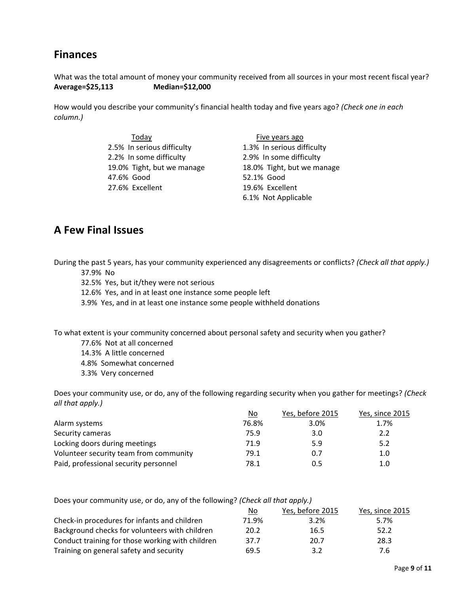# **Finances**

What was the total amount of money your community received from all sources in your most recent fiscal year? **Average=\$25,113 Median=\$12,000**

How would you describe your community's financial health today and five years ago? *(Check one in each column.)*

| Today                      | Five years ago             |
|----------------------------|----------------------------|
| 2.5% In serious difficulty | 1.3% In serious difficulty |
| 2.2% In some difficulty    | 2.9% In some difficulty    |
| 19.0% Tight, but we manage | 18.0% Tight, but we manage |
| 47.6% Good                 | 52.1% Good                 |
| 27.6% Excellent            | 19.6% Excellent            |
|                            | 6.1% Not Applicable        |

### **A Few Final Issues**

During the past 5 years, has your community experienced any disagreements or conflicts? *(Check all that apply.)* 37.9% No

32.5% Yes, but it/they were not serious

12.6% Yes, and in at least one instance some people left

3.9% Yes, and in at least one instance some people withheld donations

To what extent is your community concerned about personal safety and security when you gather?

- 77.6% Not at all concerned
- 14.3% A little concerned
- 4.8% Somewhat concerned
- 3.3% Very concerned

Does your community use, or do, any of the following regarding security when you gather for meetings? *(Check all that apply.)*

|                                        | No    | Yes, before 2015 | Yes, since 2015 |
|----------------------------------------|-------|------------------|-----------------|
| Alarm systems                          | 76.8% | 3.0%             | 1.7%            |
| Security cameras                       | 75.9  | 3.0              | 2.2             |
| Locking doors during meetings          | 71.9  | 5.9              | 5.2             |
| Volunteer security team from community | 79.1  | 0.7              | 1.0             |
| Paid, professional security personnel  | 78.1  | 0.5              | 1.0             |

| Does your community use, or do, any of the following? (Check all that apply.) |       |                  |                 |  |  |
|-------------------------------------------------------------------------------|-------|------------------|-----------------|--|--|
|                                                                               | No    | Yes, before 2015 | Yes, since 2015 |  |  |
| Check-in procedures for infants and children                                  | 71.9% | 3.2%             | 5.7%            |  |  |
| Background checks for volunteers with children                                | 20.2  | 16.5             | 52.2            |  |  |
| Conduct training for those working with children                              | 37.7  | 20.7             | 28.3            |  |  |
| Training on general safety and security                                       | 69.5  | 3.2              | 7.6             |  |  |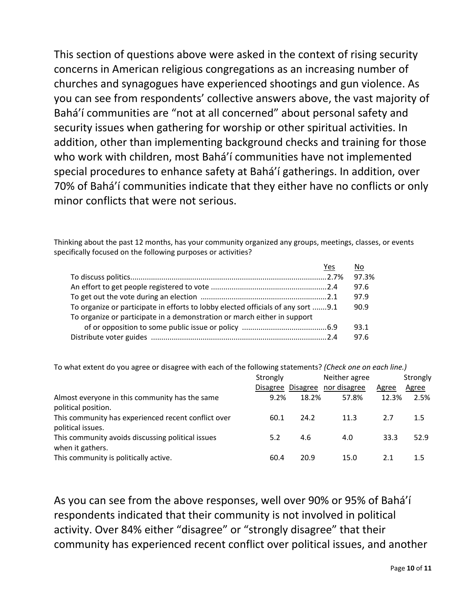This section of questions above were asked in the context of rising security concerns in American religious congregations as an increasing number of churches and synagogues have experienced shootings and gun violence. As you can see from respondents' collective answers above, the vast majority of Bahá'í communities are "not at all concerned" about personal safety and security issues when gathering for worship or other spiritual activities. In addition, other than implementing background checks and training for those who work with children, most Bahá'í communities have not implemented special procedures to enhance safety at Bahá'í gatherings. In addition, over 70% of Bahá'í communities indicate that they either have no conflicts or only minor conflicts that were not serious.

Thinking about the past 12 months, has your community organized any groups, meetings, classes, or events specifically focused on the following purposes or activities?

|                                                                                  | Yes |       |
|----------------------------------------------------------------------------------|-----|-------|
|                                                                                  |     | 97.3% |
|                                                                                  |     | 97.6  |
|                                                                                  |     | 97.9  |
| To organize or participate in efforts to lobby elected officials of any sort 9.1 |     | 90.9  |
| To organize or participate in a demonstration or march either in support         |     |       |
|                                                                                  |     | 93.1  |
|                                                                                  |     | 97.6  |

To what extent do you agree or disagree with each of the following statements? *(Check one on each line.)*

|                                                                          | Strongly |       | Neither agree<br>Disagree Disagree nor disagree | Agree | Strongly<br>Agree |
|--------------------------------------------------------------------------|----------|-------|-------------------------------------------------|-------|-------------------|
| Almost everyone in this community has the same<br>political position.    | 9.2%     | 18.2% | 57.8%                                           | 12.3% | 2.5%              |
| This community has experienced recent conflict over<br>political issues. | 60.1     | 24.2  | 11.3                                            | 2.7   | 1.5               |
| This community avoids discussing political issues<br>when it gathers.    | 5.2      | 4.6   | 4.0                                             | 33.3  | 52.9              |
| This community is politically active.                                    | 60.4     | 20.9  | 15.0                                            | 2.1   | 1.5               |

As you can see from the above responses, well over 90% or 95% of Bahá'í respondents indicated that their community is not involved in political activity. Over 84% either "disagree" or "strongly disagree" that their community has experienced recent conflict over political issues, and another